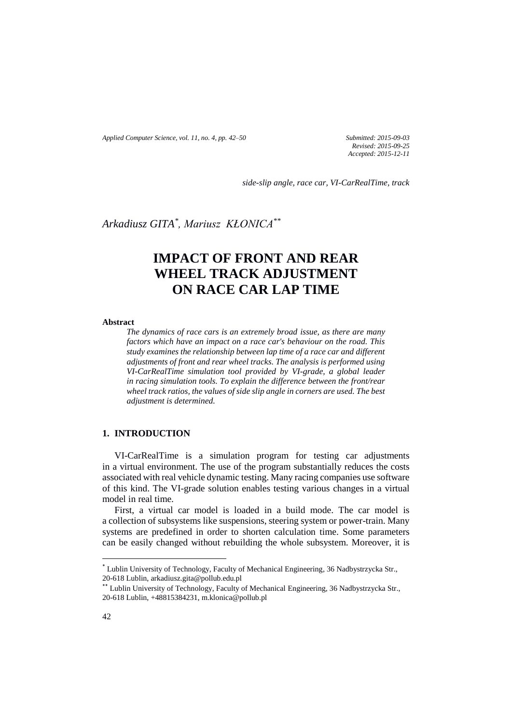*Applied Computer Science, vol. 11, no. 4, pp. 42–50 Submitted: 2015-09-03*

*Revised: 2015-09-25 Accepted: 2015-12-11*

*side-slip angle, race car, VI-CarRealTime, track*

*Arkadiusz GITA\* , Mariusz KŁONICA\*\**

# **IMPACT OF FRONT AND REAR WHEEL TRACK ADJUSTMENT ON RACE CAR LAP TIME**

**Abstract**

*The dynamics of race cars is an extremely broad issue, as there are many factors which have an impact on a race car's behaviour on the road. This study examines the relationship between lap time of a race car and different adjustments of front and rear wheel tracks. The analysis is performed using VI-CarRealTime simulation tool provided by VI-grade, a global leader in racing simulation tools. To explain the difference between the front/rear wheel track ratios, the values of side slip angle in corners are used. The best adjustment is determined.*

## **1. INTRODUCTION**

VI-CarRealTime is a simulation program for testing car adjustments in a virtual environment. The use of the program substantially reduces the costs associated with real vehicle dynamic testing. Many racing companies use software of this kind. The VI-grade solution enables testing various changes in a virtual model in real time.

First, a virtual car model is loaded in a build mode. The car model is a collection of subsystems like suspensions, steering system or power-train. Many systems are predefined in order to shorten calculation time. Some parameters can be easily changed without rebuilding the whole subsystem. Moreover, it is

 $\overline{a}$ 

<sup>\*</sup> Lublin University of Technology, Faculty of Mechanical Engineering, 36 Nadbystrzycka Str., 20-618 Lublin, arkadiusz.gita@pollub.edu.pl

<sup>\*\*</sup> Lublin University of Technology, Faculty of Mechanical Engineering, 36 Nadbystrzycka Str., 20-618 Lublin, +48815384231, m.klonica@pollub.pl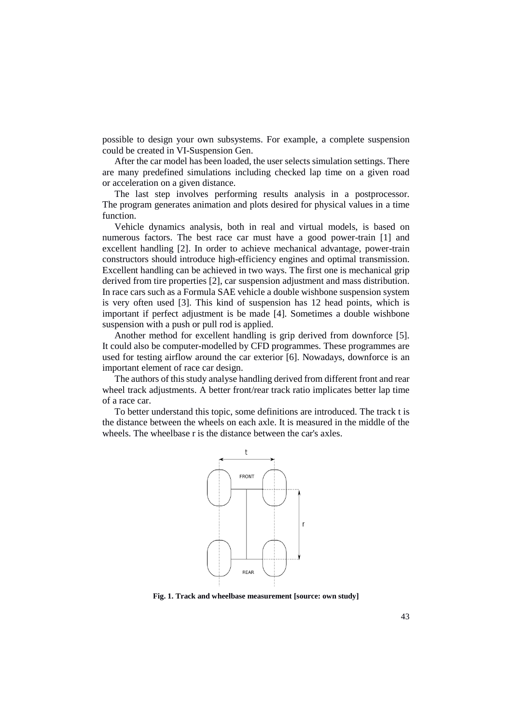possible to design your own subsystems. For example, a complete suspension could be created in VI-Suspension Gen.

After the car model has been loaded, the user selects simulation settings. There are many predefined simulations including checked lap time on a given road or acceleration on a given distance.

The last step involves performing results analysis in a postprocessor. The program generates animation and plots desired for physical values in a time function.

Vehicle dynamics analysis, both in real and virtual models, is based on numerous factors. The best race car must have a good power-train [1] and excellent handling [2]. In order to achieve mechanical advantage, power-train constructors should introduce high-efficiency engines and optimal transmission. Excellent handling can be achieved in two ways. The first one is mechanical grip derived from tire properties [2], car suspension adjustment and mass distribution. In race cars such as a Formula SAE vehicle a double wishbone suspension system is very often used [3]. This kind of suspension has 12 head points, which is important if perfect adjustment is be made [4]. Sometimes a double wishbone suspension with a push or pull rod is applied.

Another method for excellent handling is grip derived from downforce [5]. It could also be computer-modelled by CFD programmes. These programmes are used for testing airflow around the car exterior [6]. Nowadays, downforce is an important element of race car design.

The authors of this study analyse handling derived from different front and rear wheel track adjustments. A better front/rear track ratio implicates better lap time of a race car.

To better understand this topic, some definitions are introduced. The track t is the distance between the wheels on each axle. It is measured in the middle of the wheels. The wheelbase r is the distance between the car's axles.



**Fig. 1. Track and wheelbase measurement [source: own study]**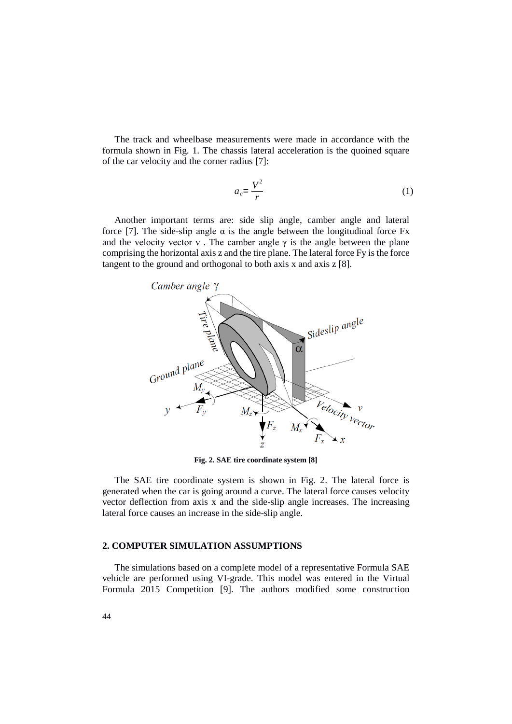The track and wheelbase measurements were made in accordance with the formula shown in Fig. 1. The chassis lateral acceleration is the quoined square of the car velocity and the corner radius [7]:

$$
a_c = \frac{V^2}{r} \tag{1}
$$

Another important terms are: side slip angle, camber angle and lateral force [7]. The side-slip angle  $\alpha$  is the angle between the longitudinal force Fx and the velocity vector  $v$ . The camber angle  $\gamma$  is the angle between the plane comprising the horizontal axis z and the tire plane. The lateral force Fy is the force tangent to the ground and orthogonal to both axis x and axis z [8].



**Fig. 2. SAE tire coordinate system [8]**

The SAE tire coordinate system is shown in Fig. 2. The lateral force is generated when the car is going around a curve. The lateral force causes velocity vector deflection from axis x and the side-slip angle increases. The increasing lateral force causes an increase in the side-slip angle.

### **2. COMPUTER SIMULATION ASSUMPTIONS**

The simulations based on a complete model of a representative Formula SAE vehicle are performed using VI-grade. This model was entered in the Virtual Formula 2015 Competition [9]. The authors modified some construction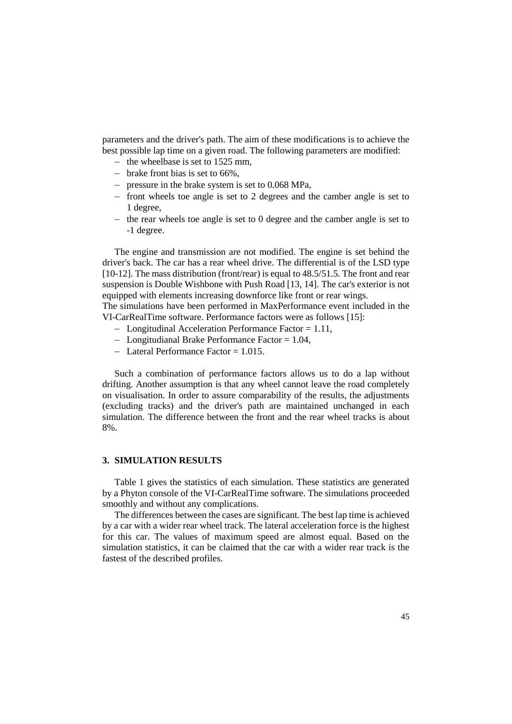parameters and the driver's path. The aim of these modifications is to achieve the best possible lap time on a given road. The following parameters are modified:

- the wheelbase is set to  $1525$  mm,
- $-$  brake front bias is set to 66%,
- pressure in the brake system is set to  $0.068$  MPa,
- $-$  front wheels toe angle is set to 2 degrees and the camber angle is set to 1 degree,
- $-$  the rear wheels toe angle is set to 0 degree and the camber angle is set to -1 degree.

The engine and transmission are not modified. The engine is set behind the driver's back. The car has a rear wheel drive. The differential is of the LSD type [10-12]. The mass distribution (front/rear) is equal to 48.5/51.5. The front and rear suspension is Double Wishbone with Push Road [13, 14]. The car's exterior is not equipped with elements increasing downforce like front or rear wings.

The simulations have been performed in MaxPerformance event included in the VI-CarRealTime software. Performance factors were as follows [15]:

- Longitudinal Acceleration Performance Factor = 1.11,
- Longitudianal Brake Performance Factor  $= 1.04$ ,
- $-$  Lateral Performance Factor = 1.015.

Such a combination of performance factors allows us to do a lap without drifting. Another assumption is that any wheel cannot leave the road completely on visualisation. In order to assure comparability of the results, the adjustments (excluding tracks) and the driver's path are maintained unchanged in each simulation. The difference between the front and the rear wheel tracks is about 8%.

#### **3. SIMULATION RESULTS**

Table 1 gives the statistics of each simulation. These statistics are generated by a Phyton console of the VI-CarRealTime software. The simulations proceeded smoothly and without any complications.

The differences between the cases are significant. The best lap time is achieved by a car with a wider rear wheel track. The lateral acceleration force is the highest for this car. The values of maximum speed are almost equal. Based on the simulation statistics, it can be claimed that the car with a wider rear track is the fastest of the described profiles.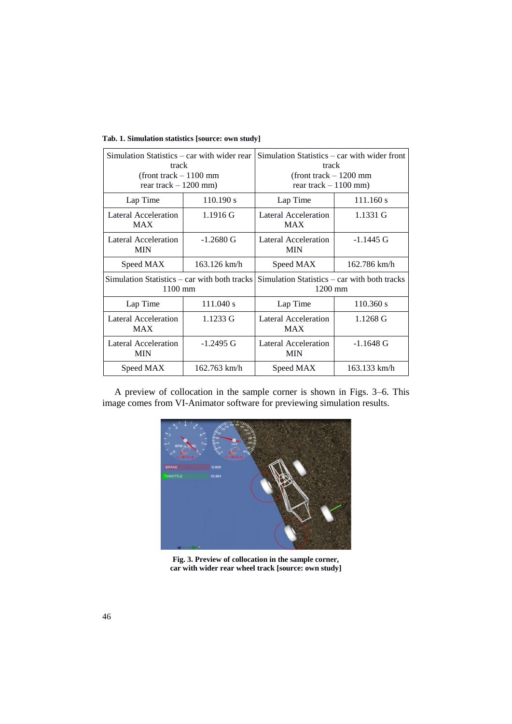| Simulation Statistics – car with wider rear<br>track<br>$($ front track $-1100$ mm<br>rear track $-1200$ mm) |              | Simulation Statistics – car with wider front<br>track<br>$($ front track $-1200$ mm<br>rear track $-1100$ mm) |              |
|--------------------------------------------------------------------------------------------------------------|--------------|---------------------------------------------------------------------------------------------------------------|--------------|
| Lap Time                                                                                                     | 110.190 s    | Lap Time                                                                                                      | 111.160 s    |
| Lateral Acceleration<br><b>MAX</b>                                                                           | $1.1916$ G   | Lateral Acceleration<br><b>MAX</b>                                                                            | 1.1331 G     |
| Lateral Acceleration<br><b>MIN</b>                                                                           | $-1.2680$ G  | Lateral Acceleration<br>MIN                                                                                   | $-1.1445$ G  |
| Speed MAX                                                                                                    | 163.126 km/h | Speed MAX                                                                                                     | 162.786 km/h |
| Simulation Statistics – car with both tracks<br>$1100 \text{ mm}$                                            |              | Simulation Statistics – car with both tracks<br>$1200$ mm                                                     |              |
| Lap Time                                                                                                     | 111.040 s    | Lap Time                                                                                                      | $110.360$ s  |
| <b>Lateral Acceleration</b><br><b>MAX</b>                                                                    | $1.1233$ G   | <b>Lateral Acceleration</b><br><b>MAX</b>                                                                     | 1.1268 G     |
| Lateral Acceleration<br><b>MIN</b>                                                                           | $-1.2495$ G  | Lateral Acceleration<br>MIN                                                                                   | $-1.1648$ G  |
| Speed MAX                                                                                                    | 162.763 km/h | Speed MAX                                                                                                     | 163.133 km/h |

**Tab. 1. Simulation statistics [source: own study]**

A preview of collocation in the sample corner is shown in Figs. 3–6. This image comes from VI-Animator software for previewing simulation results.



**Fig. 3. Preview of collocation in the sample corner, car with wider rear wheel track [source: own study]**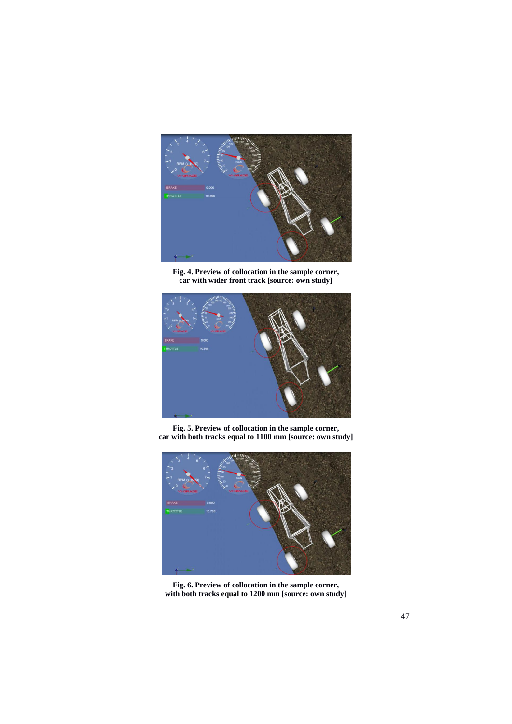

**Fig. 4. Preview of collocation in the sample corner, car with wider front track [source: own study]**



**Fig. 5. Preview of collocation in the sample corner, car with both tracks equal to 1100 mm [source: own study]** 



**Fig. 6. Preview of collocation in the sample corner, with both tracks equal to 1200 mm [source: own study]**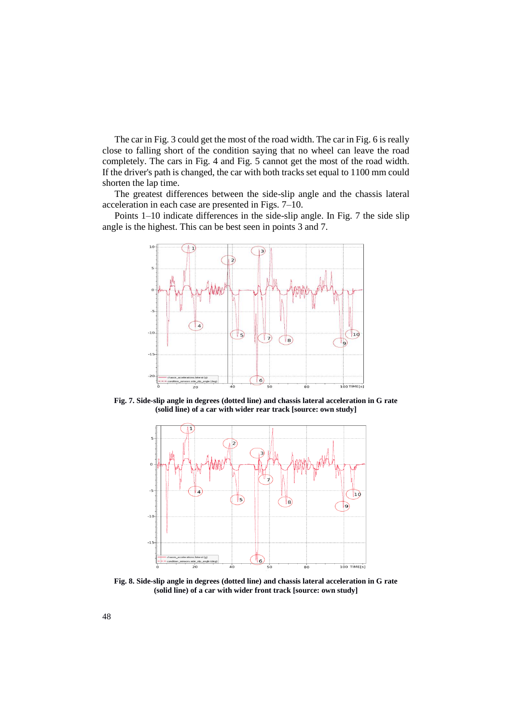The car in Fig. 3 could get the most of the road width. The car in Fig. 6 is really close to falling short of the condition saying that no wheel can leave the road completely. The cars in Fig. 4 and Fig. 5 cannot get the most of the road width. If the driver's path is changed, the car with both tracks set equal to 1100 mm could shorten the lap time.

The greatest differences between the side-slip angle and the chassis lateral acceleration in each case are presented in Figs. 7–10.

Points 1–10 indicate differences in the side-slip angle. In Fig. 7 the side slip angle is the highest. This can be best seen in points 3 and 7.



**Fig. 7. Side-slip angle in degrees (dotted line) and chassis lateral acceleration in G rate (solid line) of a car with wider rear track [source: own study]** 



**Fig. 8. Side-slip angle in degrees (dotted line) and chassis lateral acceleration in G rate (solid line) of a car with wider front track [source: own study]**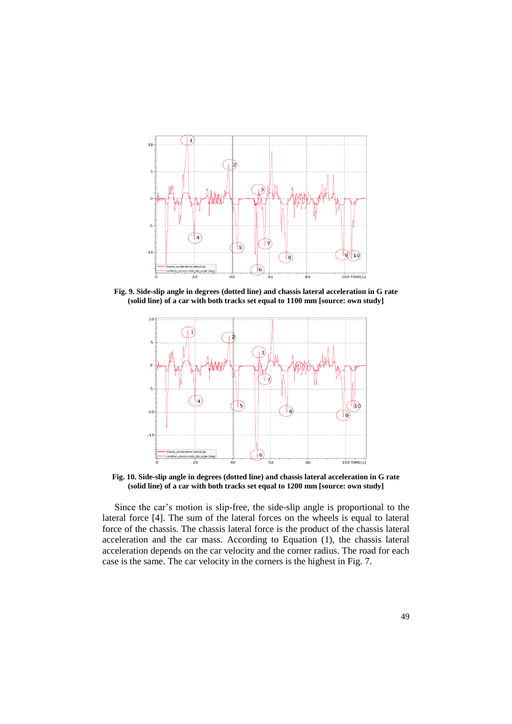

**Fig. 9. Side-slip angle in degrees (dotted line) and chassis lateral acceleration in G rate (solid line) of a car with both tracks set equal to 1100 mm [source: own study]**



**Fig. 10. Side-slip angle in degrees (dotted line) and chassis lateral acceleration in G rate (solid line) of a car with both tracks set equal to 1200 mm [source: own study]** 

Since the car's motion is slip-free, the side-slip angle is proportional to the lateral force [4]. The sum of the lateral forces on the wheels is equal to lateral force of the chassis. The chassis lateral force is the product of the chassis lateral acceleration and the car mass. According to Equation (1), the chassis lateral acceleration depends on the car velocity and the corner radius. The road for each case is the same. The car velocity in the corners is the highest in Fig. 7.